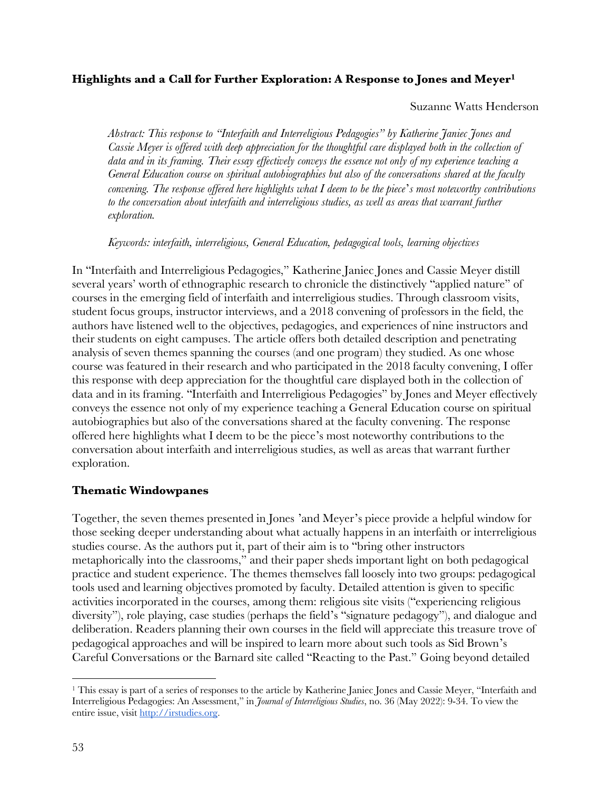# **Highlights and a Call for Further Exploration: A Response to Jones and Meyer1**

#### Suzanne Watts Henderson

*Abstract: This response to "Interfaith and Interreligious Pedagogies" by Katherine Janiec Jones and* Cassie Meyer is offered with deep appreciation for the thoughtful care displayed both in the collection of data and in its framing. Their essay effectively conveys the essence not only of my experience teaching a *General Education course on spiritual autobiographies but also of the conversations shared at the faculty* convening. The response offered here highlights what  $I$  deem to be the piece's most noteworthy contributions *to the conversation about interfaith and interreligious studies, as well as areas that warrant further exploration.*

*Keywords: interfaith, interreligious, General Education, pedagogical tools, learning objectives*

In "Interfaith and Interreligious Pedagogies," Katherine Janiec Jones and Cassie Meyer distill several years' worth of ethnographic research to chronicle the distinctively "applied nature" of courses in the emerging field of interfaith and interreligious studies. Through classroom visits, student focus groups, instructor interviews, and a 2018 convening of professors in the field, the authors have listened well to the objectives, pedagogies, and experiences of nine instructors and their students on eight campuses. The article offers both detailed description and penetrating analysis of seven themes spanning the courses (and one program) they studied. As one whose course was featured in their research and who participated in the 2018 faculty convening, I offer this response with deep appreciation for the thoughtful care displayed both in the collection of data and in its framing. "Interfaith and Interreligious Pedagogies" by Jones and Meyer effectively conveys the essence not only of my experience teaching a General Education course on spiritual autobiographies but also of the conversations shared at the faculty convening. The response offered here highlights what I deem to be the piece's most noteworthy contributions to the conversation about interfaith and interreligious studies, as well as areas that warrant further exploration.

# **Thematic Windowpanes**

Together, the seven themes presented in Jones 'and Meyer's piece provide a helpful window for those seeking deeper understanding about what actually happens in an interfaith or interreligious studies course. As the authors put it, part of their aim is to "bring other instructors metaphorically into the classrooms," and their paper sheds important light on both pedagogical practice and student experience. The themes themselves fall loosely into two groups: pedagogical tools used and learning objectives promoted by faculty. Detailed attention is given to specific activities incorporated in the courses, among them: religious site visits ("experiencing religious diversity"), role playing, case studies (perhaps the field's "signature pedagogy"), and dialogue and deliberation. Readers planning their own courses in the field will appreciate this treasure trove of pedagogical approaches and will be inspired to learn more about such tools as Sid Brown's Careful Conversations or the Barnard site called "Reacting to the Past." Going beyond detailed

<sup>&</sup>lt;sup>1</sup> This essay is part of a series of responses to the article by Katherine Janiec Jones and Cassie Meyer, "Interfaith and Interreligious Pedagogies: An Assessment," in *Journal of Interreligious Studies*, no. 36 (May 2022): 9-34. To view the entire issue, visit http://irstudies.org.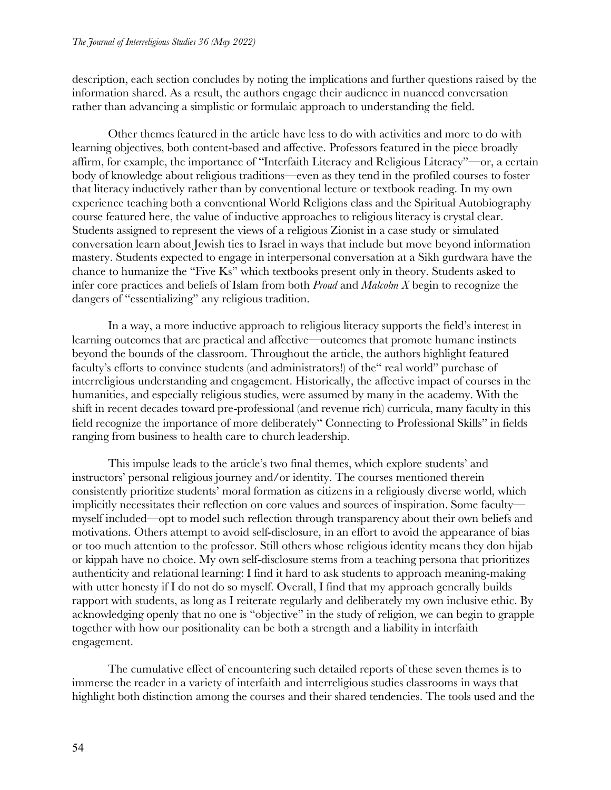description, each section concludes by noting the implications and further questions raised by the information shared. As a result, the authors engage their audience in nuanced conversation rather than advancing a simplistic or formulaic approach to understanding the field.

Other themes featured in the article have less to do with activities and more to do with learning objectives, both content-based and affective. Professors featured in the piece broadly affirm, for example, the importance of "Interfaith Literacy and Religious Literacy"—or, a certain body of knowledge about religious traditions—even as they tend in the profiled courses to foster that literacy inductively rather than by conventional lecture or textbook reading. In my own experience teaching both a conventional World Religions class and the Spiritual Autobiography course featured here, the value of inductive approaches to religious literacy is crystal clear. Students assigned to represent the views of a religious Zionist in a case study or simulated conversation learn about Jewish ties to Israel in ways that include but move beyond information mastery. Students expected to engage in interpersonal conversation at a Sikh gurdwara have the chance to humanize the "Five Ks" which textbooks present only in theory. Students asked to infer core practices and beliefs of Islam from both *Proud* and *Malcolm X* begin to recognize the dangers of "essentializing" any religious tradition.

In a way, a more inductive approach to religious literacy supports the field's interest in learning outcomes that are practical and affective—outcomes that promote humane instincts beyond the bounds of the classroom. Throughout the article, the authors highlight featured faculty's efforts to convince students (and administrators!) of the" real world" purchase of interreligious understanding and engagement. Historically, the affective impact of courses in the humanities, and especially religious studies, were assumed by many in the academy. With the shift in recent decades toward pre-professional (and revenue rich) curricula, many faculty in this field recognize the importance of more deliberately" Connecting to Professional Skills" in fields ranging from business to health care to church leadership.

This impulse leads to the article's two final themes, which explore students' and instructors' personal religious journey and/or identity. The courses mentioned therein consistently prioritize students' moral formation as citizens in a religiously diverse world, which implicitly necessitates their reflection on core values and sources of inspiration. Some faculty myself included—opt to model such reflection through transparency about their own beliefs and motivations. Others attempt to avoid self-disclosure, in an effort to avoid the appearance of bias or too much attention to the professor. Still others whose religious identity means they don hijab or kippah have no choice. My own self-disclosure stems from a teaching persona that prioritizes authenticity and relational learning: I find it hard to ask students to approach meaning-making with utter honesty if I do not do so myself. Overall, I find that my approach generally builds rapport with students, as long as I reiterate regularly and deliberately my own inclusive ethic. By acknowledging openly that no one is "objective" in the study of religion, we can begin to grapple together with how our positionality can be both a strength and a liability in interfaith engagement.

The cumulative effect of encountering such detailed reports of these seven themes is to immerse the reader in a variety of interfaith and interreligious studies classrooms in ways that highlight both distinction among the courses and their shared tendencies. The tools used and the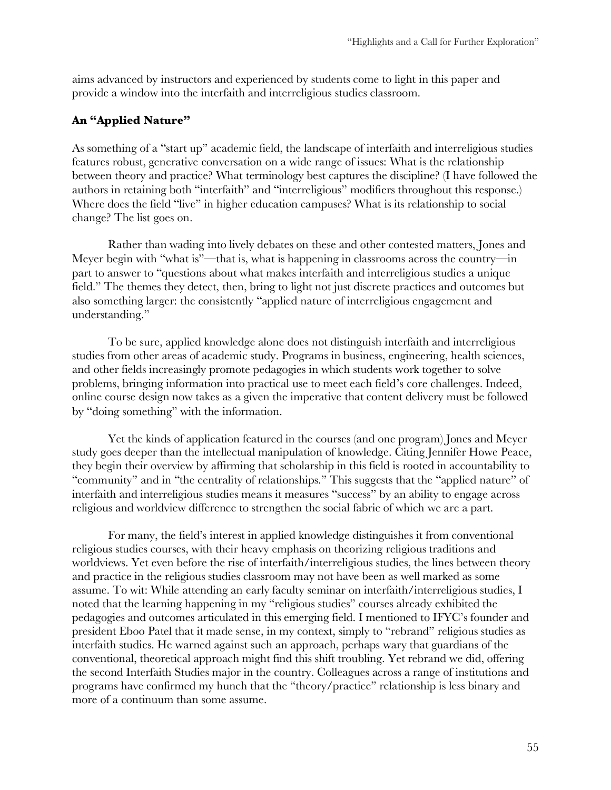aims advanced by instructors and experienced by students come to light in this paper and provide a window into the interfaith and interreligious studies classroom.

# **An "Applied Nature"**

As something of a "start up" academic field, the landscape of interfaith and interreligious studies features robust, generative conversation on a wide range of issues: What is the relationship between theory and practice? What terminology best captures the discipline? (I have followed the authors in retaining both "interfaith" and "interreligious" modifiers throughout this response.) Where does the field "live" in higher education campuses? What is its relationship to social change? The list goes on.

Rather than wading into lively debates on these and other contested matters, Jones and Meyer begin with "what is"—that is, what is happening in classrooms across the country—in part to answer to "questions about what makes interfaith and interreligious studies a unique field." The themes they detect, then, bring to light not just discrete practices and outcomes but also something larger: the consistently "applied nature of interreligious engagement and understanding."

To be sure, applied knowledge alone does not distinguish interfaith and interreligious studies from other areas of academic study. Programs in business, engineering, health sciences, and other fields increasingly promote pedagogies in which students work together to solve problems, bringing information into practical use to meet each field's core challenges. Indeed, online course design now takes as a given the imperative that content delivery must be followed by "doing something" with the information.

Yet the kinds of application featured in the courses (and one program) Jones and Meyer study goes deeper than the intellectual manipulation of knowledge. Citing Jennifer Howe Peace, they begin their overview by affirming that scholarship in this field is rooted in accountability to "community" and in "the centrality of relationships." This suggests that the "applied nature" of interfaith and interreligious studies means it measures "success" by an ability to engage across religious and worldview difference to strengthen the social fabric of which we are a part.

For many, the field's interest in applied knowledge distinguishes it from conventional religious studies courses, with their heavy emphasis on theorizing religious traditions and worldviews. Yet even before the rise of interfaith/interreligious studies, the lines between theory and practice in the religious studies classroom may not have been as well marked as some assume. To wit: While attending an early faculty seminar on interfaith/interreligious studies, I noted that the learning happening in my "religious studies" courses already exhibited the pedagogies and outcomes articulated in this emerging field. I mentioned to IFYC's founder and president Eboo Patel that it made sense, in my context, simply to "rebrand" religious studies as interfaith studies. He warned against such an approach, perhaps wary that guardians of the conventional, theoretical approach might find this shift troubling. Yet rebrand we did, offering the second Interfaith Studies major in the country. Colleagues across a range of institutions and programs have confirmed my hunch that the "theory/practice" relationship is less binary and more of a continuum than some assume.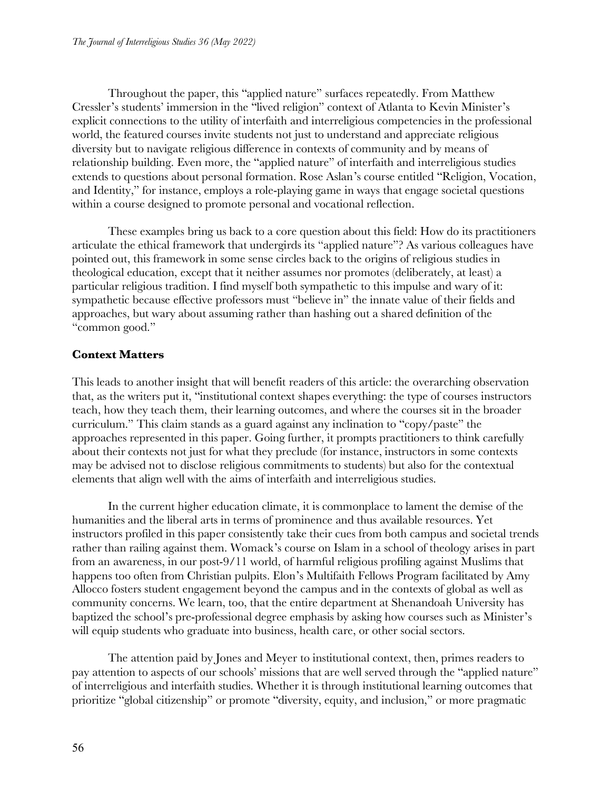Throughout the paper, this "applied nature" surfaces repeatedly. From Matthew Cressler's students' immersion in the "lived religion" context of Atlanta to Kevin Minister's explicit connections to the utility of interfaith and interreligious competencies in the professional world, the featured courses invite students not just to understand and appreciate religious diversity but to navigate religious difference in contexts of community and by means of relationship building. Even more, the "applied nature" of interfaith and interreligious studies extends to questions about personal formation. Rose Aslan's course entitled "Religion, Vocation, and Identity," for instance, employs a role-playing game in ways that engage societal questions within a course designed to promote personal and vocational reflection.

These examples bring us back to a core question about this field: How do its practitioners articulate the ethical framework that undergirds its "applied nature"? As various colleagues have pointed out, this framework in some sense circles back to the origins of religious studies in theological education, except that it neither assumes nor promotes (deliberately, at least) a particular religious tradition. I find myself both sympathetic to this impulse and wary of it: sympathetic because effective professors must "believe in" the innate value of their fields and approaches, but wary about assuming rather than hashing out a shared definition of the "common good."

# **Context Matters**

This leads to another insight that will benefit readers of this article: the overarching observation that, as the writers put it, "institutional context shapes everything: the type of courses instructors teach, how they teach them, their learning outcomes, and where the courses sit in the broader curriculum." This claim stands as a guard against any inclination to "copy/paste" the approaches represented in this paper. Going further, it prompts practitioners to think carefully about their contexts not just for what they preclude (for instance, instructors in some contexts may be advised not to disclose religious commitments to students) but also for the contextual elements that align well with the aims of interfaith and interreligious studies.

In the current higher education climate, it is commonplace to lament the demise of the humanities and the liberal arts in terms of prominence and thus available resources. Yet instructors profiled in this paper consistently take their cues from both campus and societal trends rather than railing against them. Womack's course on Islam in a school of theology arises in part from an awareness, in our post-9/11 world, of harmful religious profiling against Muslims that happens too often from Christian pulpits. Elon's Multifaith Fellows Program facilitated by Amy Allocco fosters student engagement beyond the campus and in the contexts of global as well as community concerns. We learn, too, that the entire department at Shenandoah University has baptized the school's pre-professional degree emphasis by asking how courses such as Minister's will equip students who graduate into business, health care, or other social sectors.

The attention paid by Jones and Meyer to institutional context, then, primes readers to pay attention to aspects of our schools' missions that are well served through the "applied nature" of interreligious and interfaith studies. Whether it is through institutional learning outcomes that prioritize "global citizenship" or promote "diversity, equity, and inclusion," or more pragmatic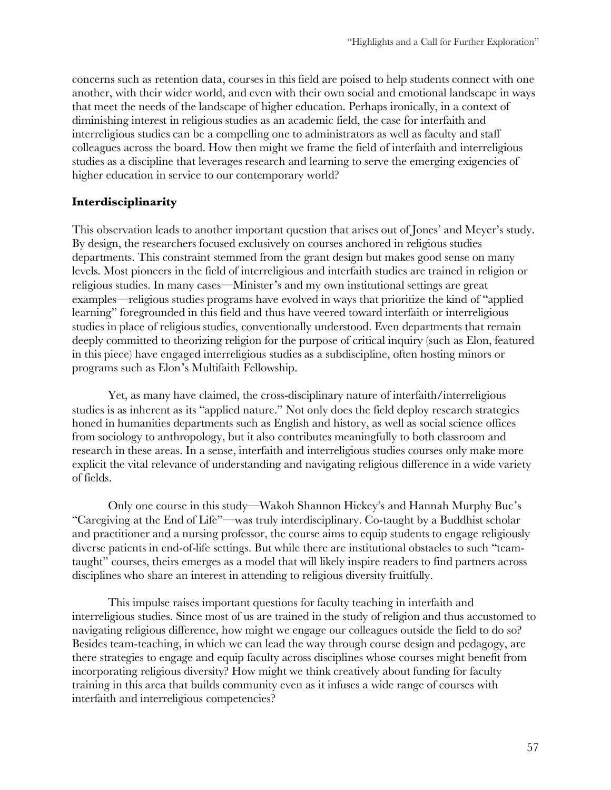concerns such as retention data, courses in this field are poised to help students connect with one another, with their wider world, and even with their own social and emotional landscape in ways that meet the needs of the landscape of higher education. Perhaps ironically, in a context of diminishing interest in religious studies as an academic field, the case for interfaith and interreligious studies can be a compelling one to administrators as well as faculty and staff colleagues across the board. How then might we frame the field of interfaith and interreligious studies as a discipline that leverages research and learning to serve the emerging exigencies of higher education in service to our contemporary world?

# **Interdisciplinarity**

This observation leads to another important question that arises out of Jones' and Meyer's study. By design, the researchers focused exclusively on courses anchored in religious studies departments. This constraint stemmed from the grant design but makes good sense on many levels. Most pioneers in the field of interreligious and interfaith studies are trained in religion or religious studies. In many cases—Minister's and my own institutional settings are great examples—religious studies programs have evolved in ways that prioritize the kind of "applied learning" foregrounded in this field and thus have veered toward interfaith or interreligious studies in place of religious studies, conventionally understood. Even departments that remain deeply committed to theorizing religion for the purpose of critical inquiry (such as Elon, featured in this piece) have engaged interreligious studies as a subdiscipline, often hosting minors or programs such as Elon's Multifaith Fellowship.

Yet, as many have claimed, the cross-disciplinary nature of interfaith/interreligious studies is as inherent as its "applied nature." Not only does the field deploy research strategies honed in humanities departments such as English and history, as well as social science offices from sociology to anthropology, but it also contributes meaningfully to both classroom and research in these areas. In a sense, interfaith and interreligious studies courses only make more explicit the vital relevance of understanding and navigating religious difference in a wide variety of fields.

Only one course in this study—Wakoh Shannon Hickey's and Hannah Murphy Buc's "Caregiving at the End of Life"—was truly interdisciplinary. Co-taught by a Buddhist scholar and practitioner and a nursing professor, the course aims to equip students to engage religiously diverse patients in end-of-life settings. But while there are institutional obstacles to such "teamtaught" courses, theirs emerges as a model that will likely inspire readers to find partners across disciplines who share an interest in attending to religious diversity fruitfully.

This impulse raises important questions for faculty teaching in interfaith and interreligious studies. Since most of us are trained in the study of religion and thus accustomed to navigating religious difference, how might we engage our colleagues outside the field to do so? Besides team-teaching, in which we can lead the way through course design and pedagogy, are there strategies to engage and equip faculty across disciplines whose courses might benefit from incorporating religious diversity? How might we think creatively about funding for faculty training in this area that builds community even as it infuses a wide range of courses with interfaith and interreligious competencies?